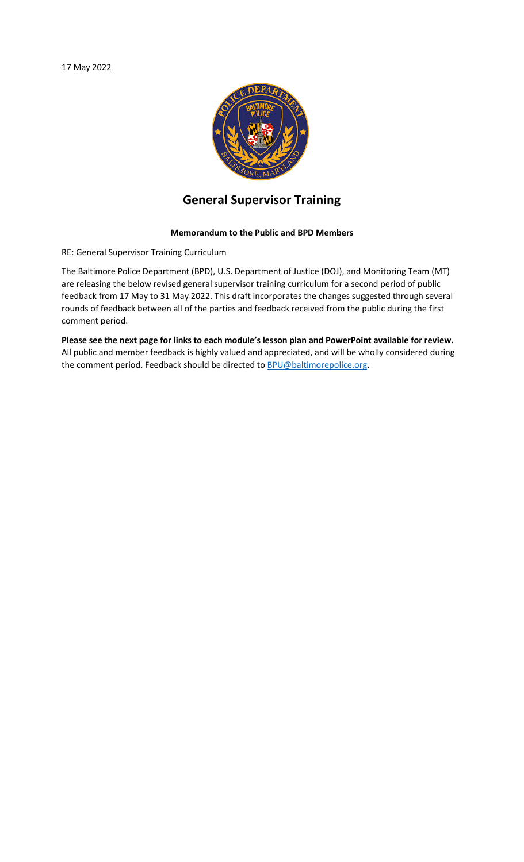

## **General Supervisor Training**

## **Memorandum to the Public and BPD Members**

RE: General Supervisor Training Curriculum

The Baltimore Police Department (BPD), U.S. Department of Justice (DOJ), and Monitoring Team (MT) are releasing the below revised general supervisor training curriculum for a second period of public feedback from 17 May to 31 May 2022. This draft incorporates the changes suggested through several rounds of feedback between all of the parties and feedback received from the public during the first comment period.

**Please see the next page for links to each module's lesson plan and PowerPoint available for review.** All public and member feedback is highly valued and appreciated, and will be wholly considered during the comment period. Feedback should be directed to **BPU@baltimorepolice.org**.